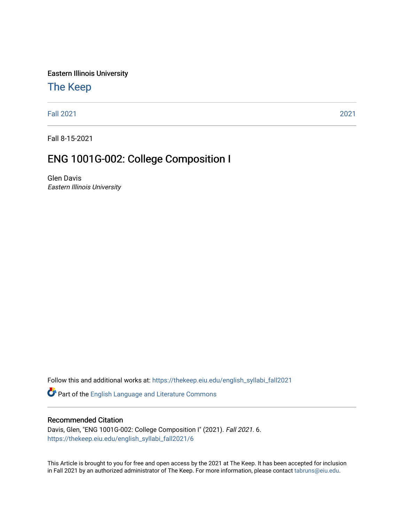Eastern Illinois University

# [The Keep](https://thekeep.eiu.edu/)

[Fall 2021](https://thekeep.eiu.edu/english_syllabi_fall2021) [2021](https://thekeep.eiu.edu/english_syllabi2021) 

Fall 8-15-2021

# ENG 1001G-002: College Composition I

Glen Davis Eastern Illinois University

Follow this and additional works at: [https://thekeep.eiu.edu/english\\_syllabi\\_fall2021](https://thekeep.eiu.edu/english_syllabi_fall2021?utm_source=thekeep.eiu.edu%2Fenglish_syllabi_fall2021%2F6&utm_medium=PDF&utm_campaign=PDFCoverPages) 

Part of the [English Language and Literature Commons](http://network.bepress.com/hgg/discipline/455?utm_source=thekeep.eiu.edu%2Fenglish_syllabi_fall2021%2F6&utm_medium=PDF&utm_campaign=PDFCoverPages)

#### Recommended Citation

Davis, Glen, "ENG 1001G-002: College Composition I" (2021). Fall 2021. 6. [https://thekeep.eiu.edu/english\\_syllabi\\_fall2021/6](https://thekeep.eiu.edu/english_syllabi_fall2021/6?utm_source=thekeep.eiu.edu%2Fenglish_syllabi_fall2021%2F6&utm_medium=PDF&utm_campaign=PDFCoverPages) 

This Article is brought to you for free and open access by the 2021 at The Keep. It has been accepted for inclusion in Fall 2021 by an authorized administrator of The Keep. For more information, please contact [tabruns@eiu.edu](mailto:tabruns@eiu.edu).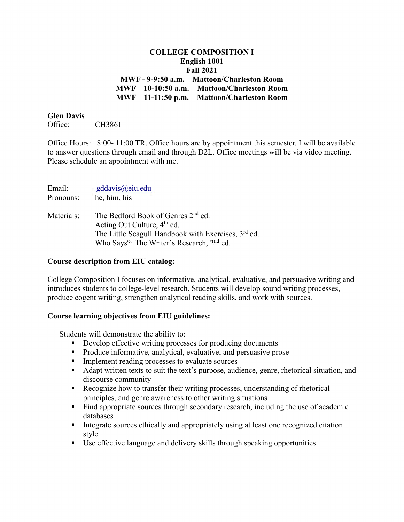# **COLLEGE COMPOSITION I English 1001 Fall 2021 MWF - 9-9:50 a.m. – Mattoon/Charleston Room MWF – 10-10:50 a.m. – Mattoon/Charleston Room MWF – 11-11:50 p.m. – Mattoon/Charleston Room**

#### **Glen Davis**

Office: CH3861

Office Hours: 8:00- 11:00 TR. Office hours are by appointment this semester. I will be available to answer questions through email and through D2L. Office meetings will be via video meeting. Please schedule an appointment with me.

| Email:     | gddavis@eiu.edu                                                                                                                                                                                                       |
|------------|-----------------------------------------------------------------------------------------------------------------------------------------------------------------------------------------------------------------------|
| Pronouns:  | he, him, his                                                                                                                                                                                                          |
| Materials: | The Bedford Book of Genres 2 <sup>nd</sup> ed.<br>Acting Out Culture, 4 <sup>th</sup> ed.<br>The Little Seagull Handbook with Exercises, 3 <sup>rd</sup> ed.<br>Who Says?: The Writer's Research, 2 <sup>nd</sup> ed. |

# **Course description from EIU catalog:**

College Composition I focuses on informative, analytical, evaluative, and persuasive writing and introduces students to college-level research. Students will develop sound writing processes, produce cogent writing, strengthen analytical reading skills, and work with sources.

# **Course learning objectives from EIU guidelines:**

Students will demonstrate the ability to:

- Develop effective writing processes for producing documents
- **Produce informative, analytical, evaluative, and persuasive prose**
- **Implement reading processes to evaluate sources**
- Adapt written texts to suit the text's purpose, audience, genre, rhetorical situation, and discourse community
- Recognize how to transfer their writing processes, understanding of rhetorical principles, and genre awareness to other writing situations
- Find appropriate sources through secondary research, including the use of academic databases
- Integrate sources ethically and appropriately using at least one recognized citation style
- Use effective language and delivery skills through speaking opportunities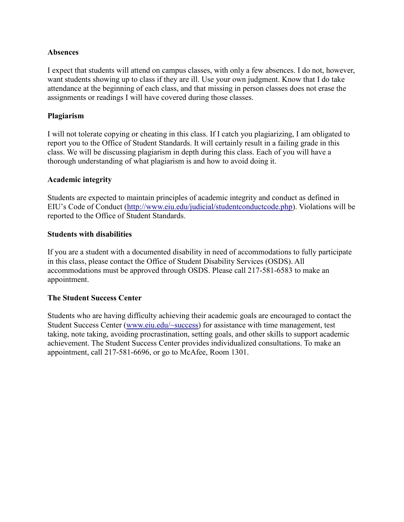# **Absences**

I expect that students will attend on campus classes, with only a few absences. I do not, however, want students showing up to class if they are ill. Use your own judgment. Know that I do take attendance at the beginning of each class, and that missing in person classes does not erase the assignments or readings I will have covered during those classes.

# **Plagiarism**

I will not tolerate copying or cheating in this class. If I catch you plagiarizing, I am obligated to report you to the Office of Student Standards. It will certainly result in a failing grade in this class. We will be discussing plagiarism in depth during this class. Each of you will have a thorough understanding of what plagiarism is and how to avoid doing it.

# **Academic integrity**

Students are expected to maintain principles of academic integrity and conduct as defined in EIU's Code of Conduct [\(http://www.eiu.edu/judicial/studentconductcode.php\)](http://www.eiu.edu/judicial/studentconductcode.php). Violations will be reported to the Office of Student Standards.

# **Students with disabilities**

If you are a student with a documented disability in need of accommodations to fully participate in this class, please contact the Office of Student Disability Services (OSDS). All accommodations must be approved through OSDS. Please call 217-581-6583 to make an appointment.

# **The Student Success Center**

Students who are having difficulty achieving their academic goals are encouraged to contact the Student Success Center [\(www.eiu.edu/~success\)](http://www.eiu.edu/~success) for assistance with time management, test taking, note taking, avoiding procrastination, setting goals, and other skills to support academic achievement. The Student Success Center provides individualized consultations. To make an appointment, call 217-581-6696, or go to McAfee, Room 1301.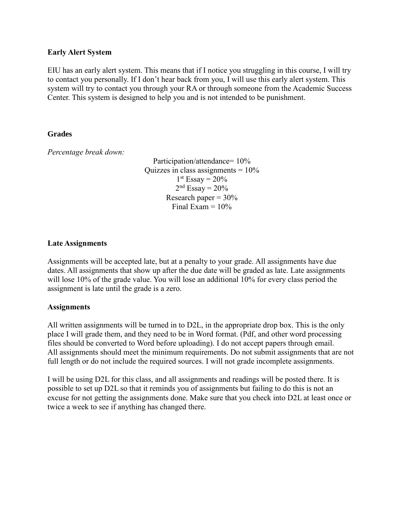#### **Early Alert System**

EIU has an early alert system. This means that if I notice you struggling in this course, I will try to contact you personally. If I don't hear back from you, I will use this early alert system. This system will try to contact you through your RA or through someone from the Academic Success Center. This system is designed to help you and is not intended to be punishment.

# **Grades**

*Percentage break down:*

Participation/attendance= 10% Quizzes in class assignments  $= 10\%$  $1<sup>st</sup>$  Essay = 20%  $2<sup>nd</sup>$  Essay =  $20%$ Research paper  $= 30\%$ Final Exam  $= 10\%$ 

# **Late Assignments**

Assignments will be accepted late, but at a penalty to your grade. All assignments have due dates. All assignments that show up after the due date will be graded as late. Late assignments will lose 10% of the grade value. You will lose an additional 10% for every class period the assignment is late until the grade is a zero.

#### **Assignments**

All written assignments will be turned in to D2L, in the appropriate drop box. This is the only place I will grade them, and they need to be in Word format. (Pdf, and other word processing files should be converted to Word before uploading). I do not accept papers through email. All assignments should meet the minimum requirements. Do not submit assignments that are not full length or do not include the required sources. I will not grade incomplete assignments.

I will be using D2L for this class, and all assignments and readings will be posted there. It is possible to set up D2L so that it reminds you of assignments but failing to do this is not an excuse for not getting the assignments done. Make sure that you check into D2L at least once or twice a week to see if anything has changed there.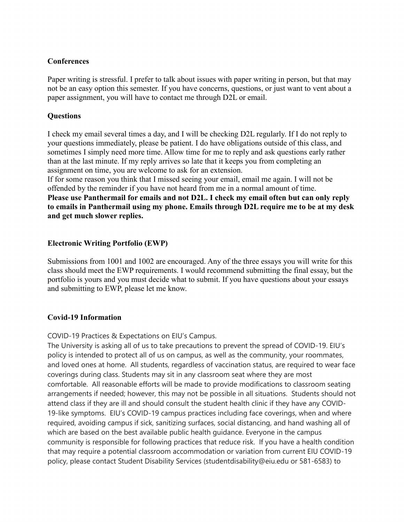# **Conferences**

Paper writing is stressful. I prefer to talk about issues with paper writing in person, but that may not be an easy option this semester. If you have concerns, questions, or just want to vent about a paper assignment, you will have to contact me through D2L or email.

# **Questions**

I check my email several times a day, and I will be checking D2L regularly. If I do not reply to your questions immediately, please be patient. I do have obligations outside of this class, and sometimes I simply need more time. Allow time for me to reply and ask questions early rather than at the last minute. If my reply arrives so late that it keeps you from completing an assignment on time, you are welcome to ask for an extension.

If for some reason you think that I missed seeing your email, email me again. I will not be offended by the reminder if you have not heard from me in a normal amount of time. **Please use Panthermail for emails and not D2L. I check my email often but can only reply to emails in Panthermail using my phone. Emails through D2L require me to be at my desk and get much slower replies.** 

# **Electronic Writing Portfolio (EWP)**

Submissions from 1001 and 1002 are encouraged. Any of the three essays you will write for this class should meet the EWP requirements. I would recommend submitting the final essay, but the portfolio is yours and you must decide what to submit. If you have questions about your essays and submitting to EWP, please let me know.

# **Covid-19 Information**

COVID-19 Practices & Expectations on EIU's Campus.

The University is asking all of us to take precautions to prevent the spread of COVID-19. EIU's policy is intended to protect all of us on campus, as well as the community, your roommates, and loved ones at home. All students, regardless of vaccination status, are required to wear face coverings during class. Students may sit in any classroom seat where they are most comfortable. All reasonable efforts will be made to provide modifications to classroom seating arrangements if needed; however, this may not be possible in all situations. Students should not attend class if they are ill and should consult the student health clinic if they have any COVID-19-like symptoms. EIU's COVID-19 campus practices including face coverings, when and where required, avoiding campus if sick, sanitizing surfaces, social distancing, and hand washing all of which are based on the best available public health guidance. Everyone in the campus community is responsible for following practices that reduce risk. If you have a health condition that may require a potential classroom accommodation or variation from current EIU COVID-19 policy, please contact Student Disability Services (studentdisability@eiu.edu or 581-6583) to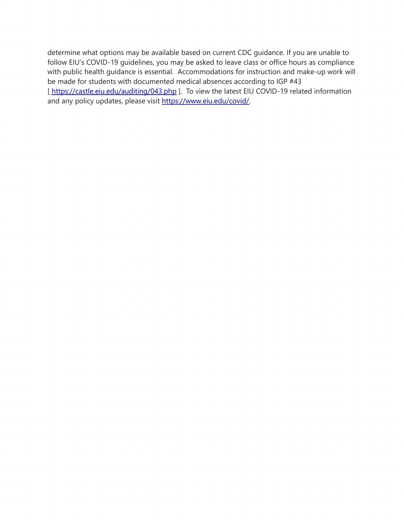determine what options may be available based on current CDC guidance. If you are unable to follow EIU's COVID-19 guidelines, you may be asked to leave class or office hours as compliance with public health guidance is essential. Accommodations for instruction and make-up work will be made for students with documented medical absences according to IGP #43 [<https://castle.eiu.edu/auditing/043.php> ]. To view the latest EIU COVID-19 related information and any policy updates, please visit [https://www.eiu.edu/covid/.](https://www.eiu.edu/covid/)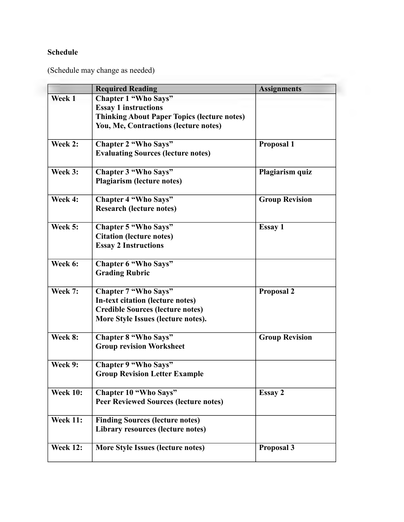# **Schedule**

(Schedule may change as needed)

|                 | <b>Required Reading</b>                            | <b>Assignments</b>    |  |
|-----------------|----------------------------------------------------|-----------------------|--|
| Week 1          | <b>Chapter 1 "Who Says"</b>                        |                       |  |
|                 | <b>Essay 1 instructions</b>                        |                       |  |
|                 | <b>Thinking About Paper Topics (lecture notes)</b> |                       |  |
|                 | You, Me, Contractions (lecture notes)              |                       |  |
| Week 2:         | <b>Chapter 2 "Who Says"</b>                        | Proposal 1            |  |
|                 | <b>Evaluating Sources (lecture notes)</b>          |                       |  |
| Week 3:         | <b>Chapter 3 "Who Says"</b>                        | Plagiarism quiz       |  |
|                 | <b>Plagiarism (lecture notes)</b>                  |                       |  |
| Week 4:         | <b>Chapter 4 "Who Says"</b>                        | <b>Group Revision</b> |  |
|                 | <b>Research (lecture notes)</b>                    |                       |  |
| Week 5:         | <b>Chapter 5 "Who Says"</b>                        | <b>Essay 1</b>        |  |
|                 | <b>Citation (lecture notes)</b>                    |                       |  |
|                 | <b>Essay 2 Instructions</b>                        |                       |  |
| Week 6:         | <b>Chapter 6 "Who Says"</b>                        |                       |  |
|                 | <b>Grading Rubric</b>                              |                       |  |
| Week 7:         | <b>Chapter 7 "Who Says"</b>                        | <b>Proposal 2</b>     |  |
|                 | In-text citation (lecture notes)                   |                       |  |
|                 | <b>Credible Sources (lecture notes)</b>            |                       |  |
|                 | More Style Issues (lecture notes).                 |                       |  |
| Week 8:         | <b>Chapter 8 "Who Says"</b>                        | <b>Group Revision</b> |  |
|                 | <b>Group revision Worksheet</b>                    |                       |  |
| Week 9:         | <b>Chapter 9 "Who Says"</b>                        |                       |  |
|                 | <b>Group Revision Letter Example</b>               |                       |  |
| <b>Week 10:</b> | <b>Chapter 10 "Who Says"</b>                       | Essay 2               |  |
|                 | <b>Peer Reviewed Sources (lecture notes)</b>       |                       |  |
| <b>Week 11:</b> | <b>Finding Sources (lecture notes)</b>             |                       |  |
|                 | Library resources (lecture notes)                  |                       |  |
| <b>Week 12:</b> | More Style Issues (lecture notes)                  | Proposal 3            |  |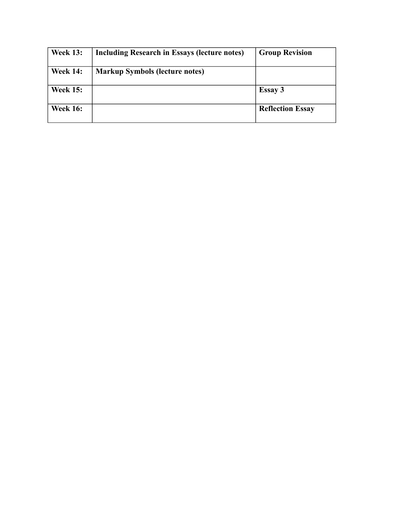| <b>Week 13:</b> | Including Research in Essays (lecture notes) | <b>Group Revision</b>   |
|-----------------|----------------------------------------------|-------------------------|
| <b>Week 14:</b> | <b>Markup Symbols (lecture notes)</b>        |                         |
| <b>Week 15:</b> |                                              | <b>Essay 3</b>          |
| <b>Week 16:</b> |                                              | <b>Reflection Essay</b> |